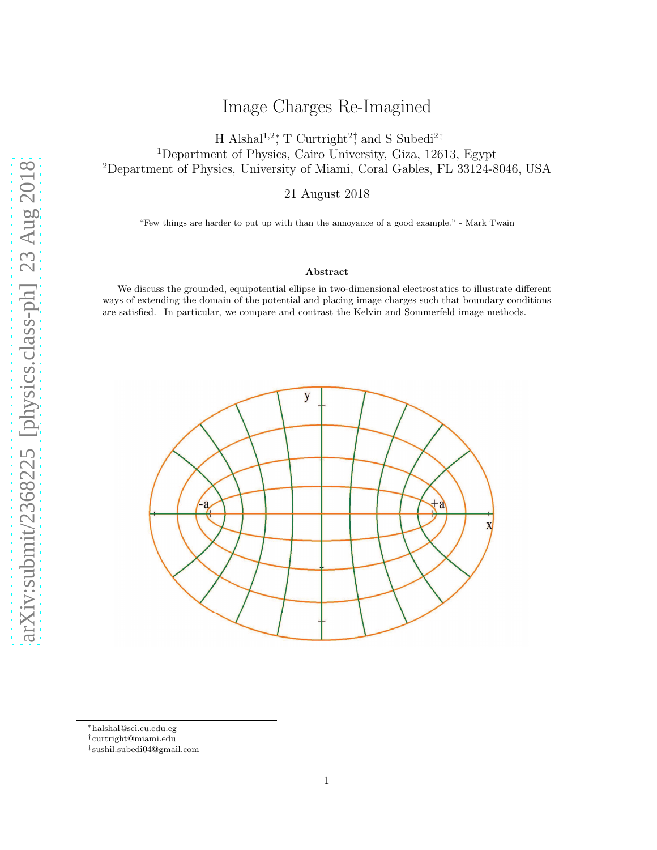# Image Charges Re-Imagined

H Alshal<sup>1,2</sup><sup>\*</sup>, T Curtright<sup>2†</sup> and S Subedi<sup>2‡</sup> <sup>1</sup>Department of Physics, Cairo University, Giza, 12613, Egypt <sup>2</sup>Department of Physics, University of Miami, Coral Gables, FL 33124-8046, USA

21 August 2018

"Few things are harder to put up with than the annoyance of a good example." - Mark Twain

### Abstract

We discuss the grounded, equipotential ellipse in two-dimensional electrostatics to illustrate different ways of extending the domain of the potential and placing image charges such that boundary conditions are satisfied. In particular, we compare and contrast the Kelvin and Sommerfeld image methods.



<sup>∗</sup>halshal@sci.cu.edu.eg

<sup>†</sup>curtright@miami.edu

<sup>‡</sup> sushil.subedi04@gmail.com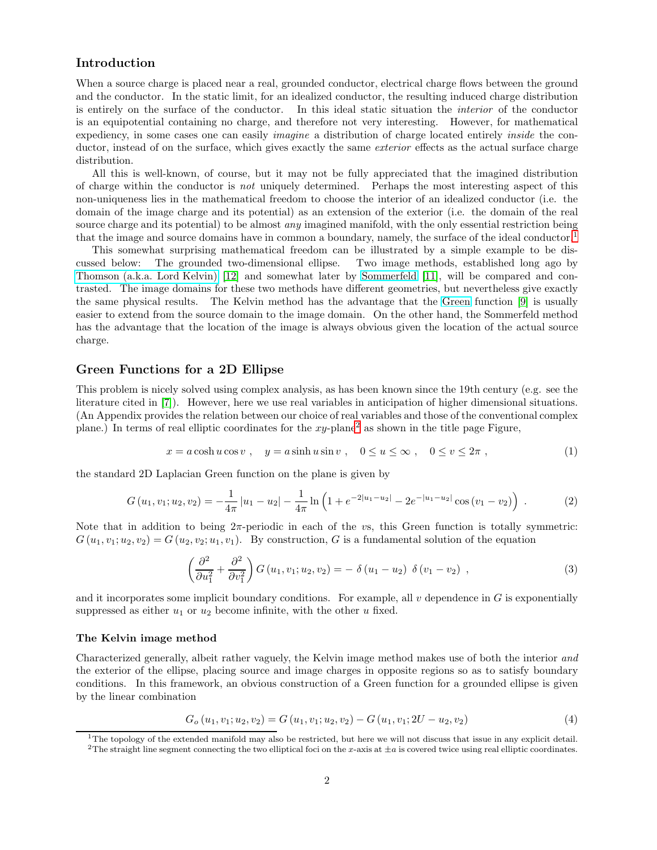### Introduction

When a source charge is placed near a real, grounded conductor, electrical charge flows between the ground and the conductor. In the static limit, for an idealized conductor, the resulting induced charge distribution is entirely on the surface of the conductor. In this ideal static situation the interior of the conductor is an equipotential containing no charge, and therefore not very interesting. However, for mathematical expediency, in some cases one can easily *imagine* a distribution of charge located entirely *inside* the conductor, instead of on the surface, which gives exactly the same *exterior* effects as the actual surface charge distribution.

All this is well-known, of course, but it may not be fully appreciated that the imagined distribution of charge within the conductor is not uniquely determined. Perhaps the most interesting aspect of this non-uniqueness lies in the mathematical freedom to choose the interior of an idealized conductor (i.e. the domain of the image charge and its potential) as an extension of the exterior (i.e. the domain of the real source charge and its potential) to be almost *any* imagined manifold, with the only essential restriction being that the image and source domains have in common a boundary, namely, the surface of the ideal conductor.<sup>[1](#page-1-0)</sup>

This somewhat surprising mathematical freedom can be illustrated by a simple example to be discussed below: The grounded two-dimensional ellipse. Two image methods, established long ago by [Thomson \(a.k.a. Lord Kelvin\)](http://en.wikipedia.org/wiki/William_Thomson,_1st_Baron_Kelvin) [\[12\]](#page-10-0) and somewhat later by [Sommerfeld](https://en.wikipedia.org/wiki/Arnold_Sommerfeld) [\[11\]](#page-10-1), will be compared and contrasted. The image domains for these two methods have different geometries, but nevertheless give exactly the same physical results. The Kelvin method has the advantage that the [Green](https://en.wikipedia.org/wiki/George_Green_(mathematician)) function [\[9\]](#page-10-2) is usually easier to extend from the source domain to the image domain. On the other hand, the Sommerfeld method has the advantage that the location of the image is always obvious given the location of the actual source charge.

### Green Functions for a 2D Ellipse

This problem is nicely solved using complex analysis, as has been known since the 19th century (e.g. see the literature cited in [\[7\]](#page-10-3)). However, here we use real variables in anticipation of higher dimensional situations. (An Appendix provides the relation between our choice of real variables and those of the conventional complex plane.) In terms of real elliptic coordinates for the  $xy$ -plane<sup>[2](#page-1-1)</sup> as shown in the title page Figure,

<span id="page-1-3"></span>
$$
x = a\cosh u \cos v \,, \quad y = a\sinh u \sin v \,, \quad 0 \le u \le \infty \,, \quad 0 \le v \le 2\pi \,, \tag{1}
$$

the standard 2D Laplacian Green function on the plane is given by

<span id="page-1-4"></span>
$$
G(u_1, v_1; u_2, v_2) = -\frac{1}{4\pi} |u_1 - u_2| - \frac{1}{4\pi} \ln \left( 1 + e^{-2|u_1 - u_2|} - 2e^{-|u_1 - u_2|} \cos (v_1 - v_2) \right) . \tag{2}
$$

Note that in addition to being  $2\pi$ -periodic in each of the vs, this Green function is totally symmetric:  $G(u_1, v_1; u_2, v_2) = G(u_2, v_2; u_1, v_1)$ . By construction, G is a fundamental solution of the equation

<span id="page-1-5"></span>
$$
\left(\frac{\partial^2}{\partial u_1^2} + \frac{\partial^2}{\partial v_1^2}\right) G(u_1, v_1; u_2, v_2) = -\delta(u_1 - u_2)\delta(v_1 - v_2) , \qquad (3)
$$

and it incorporates some implicit boundary conditions. For example, all  $v$  dependence in  $G$  is exponentially suppressed as either  $u_1$  or  $u_2$  become infinite, with the other u fixed.

### The Kelvin image method

Characterized generally, albeit rather vaguely, the Kelvin image method makes use of both the interior and the exterior of the ellipse, placing source and image charges in opposite regions so as to satisfy boundary conditions. In this framework, an obvious construction of a Green function for a grounded ellipse is given by the linear combination

<span id="page-1-2"></span>
$$
G_{o}(u_{1}, v_{1}; u_{2}, v_{2}) = G(u_{1}, v_{1}; u_{2}, v_{2}) - G(u_{1}, v_{1}; 2U - u_{2}, v_{2})
$$
\n
$$
(4)
$$

 $1$ The topology of the extended manifold may also be restricted, but here we will not discuss that issue in any explicit detail.

<span id="page-1-1"></span><span id="page-1-0"></span><sup>&</sup>lt;sup>2</sup>The straight line segment connecting the two elliptical foci on the x-axis at  $\pm a$  is covered twice using real elliptic coordinates.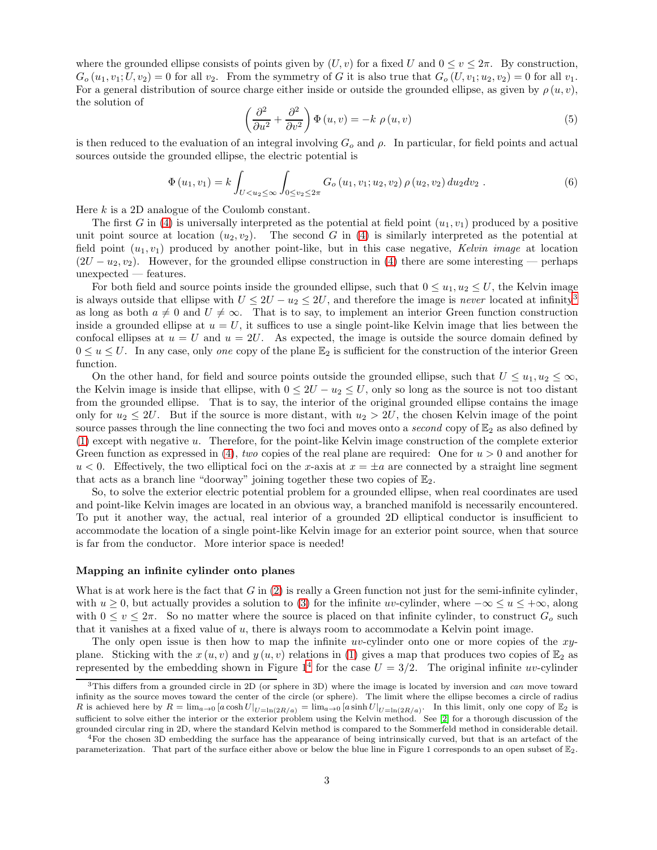where the grounded ellipse consists of points given by  $(U, v)$  for a fixed U and  $0 \le v \le 2\pi$ . By construction,  $G_o(u_1, v_1; U, v_2) = 0$  for all  $v_2$ . From the symmetry of G it is also true that  $G_o(U, v_1; u_2, v_2) = 0$  for all  $v_1$ . For a general distribution of source charge either inside or outside the grounded ellipse, as given by  $\rho(u, v)$ , the solution of

$$
\left(\frac{\partial^2}{\partial u^2} + \frac{\partial^2}{\partial v^2}\right) \Phi(u, v) = -k \rho(u, v)
$$
\n(5)

is then reduced to the evaluation of an integral involving  $G<sub>o</sub>$  and  $\rho$ . In particular, for field points and actual sources outside the grounded ellipse, the electric potential is

$$
\Phi(u_1, v_1) = k \int_{U < u_2 \leq \infty} \int_{0 \leq v_2 \leq 2\pi} G_o(u_1, v_1; u_2, v_2) \rho(u_2, v_2) \, du_2 \, dv_2 \,. \tag{6}
$$

Here k is a 2D analogue of the Coulomb constant.

The first G in [\(4\)](#page-1-2) is universally interpreted as the potential at field point  $(u_1, v_1)$  produced by a positive unit point source at location  $(u_2, v_2)$ . The second G in [\(4\)](#page-1-2) is similarly interpreted as the potential at field point  $(u_1, v_1)$  produced by another point-like, but in this case negative, Kelvin image at location  $(2U - u_2, v_2)$ . However, for the grounded ellipse construction in [\(4\)](#page-1-2) there are some interesting — perhaps unexpected — features.

For both field and source points inside the grounded ellipse, such that  $0 \le u_1, u_2 \le U$ , the Kelvin image is always outside that ellipse with  $U \leq 2U - u_2 \leq 2U$ , and therefore the image is never located at infinity<sup>[3](#page-2-0)</sup> as long as both  $a \neq 0$  and  $U \neq \infty$ . That is to say, to implement an interior Green function construction inside a grounded ellipse at  $u = U$ , it suffices to use a single point-like Kelvin image that lies between the confocal ellipses at  $u = U$  and  $u = 2U$ . As expected, the image is outside the source domain defined by  $0 \le u \le U$ . In any case, only one copy of the plane  $\mathbb{E}_2$  is sufficient for the construction of the interior Green function.

On the other hand, for field and source points outside the grounded ellipse, such that  $U \leq u_1, u_2 \leq \infty$ , the Kelvin image is inside that ellipse, with  $0 \leq 2U - u_2 \leq U$ , only so long as the source is not too distant from the grounded ellipse. That is to say, the interior of the original grounded ellipse contains the image only for  $u_2 \leq 2U$ . But if the source is more distant, with  $u_2 > 2U$ , the chosen Kelvin image of the point source passes through the line connecting the two foci and moves onto a *second* copy of  $\mathbb{E}_2$  as also defined by [\(1\)](#page-1-3) except with negative u. Therefore, for the point-like Kelvin image construction of the complete exterior Green function as expressed in [\(4\)](#page-1-2), two copies of the real plane are required: One for  $u > 0$  and another for  $u < 0$ . Effectively, the two elliptical foci on the x-axis at  $x = \pm a$  are connected by a straight line segment that acts as a branch line "doorway" joining together these two copies of  $\mathbb{E}_2$ .

So, to solve the exterior electric potential problem for a grounded ellipse, when real coordinates are used and point-like Kelvin images are located in an obvious way, a branched manifold is necessarily encountered. To put it another way, the actual, real interior of a grounded 2D elliptical conductor is insufficient to accommodate the location of a single point-like Kelvin image for an exterior point source, when that source is far from the conductor. More interior space is needed!

#### Mapping an infinite cylinder onto planes

What is at work here is the fact that  $G$  in [\(2\)](#page-1-4) is really a Green function not just for the semi-infinite cylinder, with  $u \geq 0$ , but actually provides a solution to [\(3\)](#page-1-5) for the infinite uv-cylinder, where  $-\infty \leq u \leq +\infty$ , along with  $0 \le v \le 2\pi$ . So no matter where the source is placed on that infinite cylinder, to construct  $G_o$  such that it vanishes at a fixed value of u, there is always room to accommodate a Kelvin point image.

The only open issue is then how to map the infinite uv-cylinder onto one or more copies of the xyplane. Sticking with the  $x(u, v)$  and  $y(u, v)$  relations in [\(1\)](#page-1-3) gives a map that produces two copies of  $\mathbb{E}_2$  as represented by the embedding shown in Figure  $1^4$  $1^4$  for the case  $U = 3/2$ . The original infinite uv-cylinder

<span id="page-2-0"></span><sup>&</sup>lt;sup>3</sup>This differs from a grounded circle in 2D (or sphere in 3D) where the image is located by inversion and can move toward infinity as the source moves toward the center of the circle (or sphere). The limit where the ellipse becomes a circle of radius R is achieved here by  $R = \lim_{a\to 0} [a \cosh U|_{U=\ln(2R/a)} = \lim_{a\to 0} [a \sinh U|_{U=\ln(2R/a)}$ . In this limit, only one copy of  $\mathbb{E}_2$  is sufficient to solve either the interior or the exterior problem using the Kelvin method. See [\[2\]](#page-10-4) for a thorough discussion of the grounded circular ring in 2D, where the standard Kelvin method is compared to the Sommerfeld method in considerable detail.

<span id="page-2-1"></span><sup>4</sup>For the chosen 3D embedding the surface has the appearance of being intrinsically curved, but that is an artefact of the parameterization. That part of the surface either above or below the blue line in Figure 1 corresponds to an open subset of E2.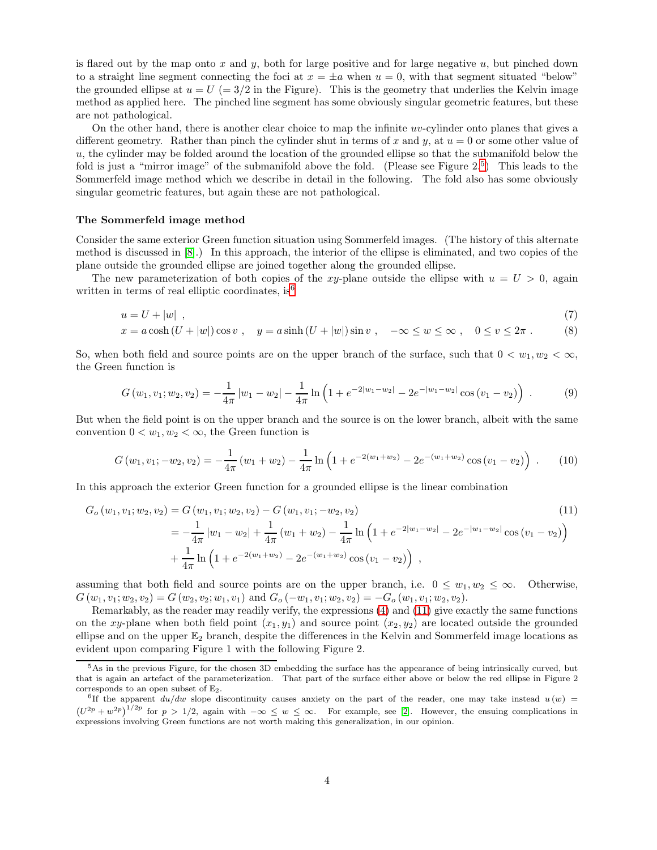is flared out by the map onto x and y, both for large positive and for large negative  $u$ , but pinched down to a straight line segment connecting the foci at  $x = \pm a$  when  $u = 0$ , with that segment situated "below" the grounded ellipse at  $u = U = 3/2$  in the Figure). This is the geometry that underlies the Kelvin image method as applied here. The pinched line segment has some obviously singular geometric features, but these are not pathological.

On the other hand, there is another clear choice to map the infinite  $uv$ -cylinder onto planes that gives a different geometry. Rather than pinch the cylinder shut in terms of x and y, at  $u = 0$  or some other value of  $u$ , the cylinder may be folded around the location of the grounded ellipse so that the submanifold below the fold is just a "mirror image" of the submanifold above the fold. (Please see Figure 2.<sup>[5](#page-3-0)</sup>) This leads to the Sommerfeld image method which we describe in detail in the following. The fold also has some obviously singular geometric features, but again these are not pathological.

#### The Sommerfeld image method

Consider the same exterior Green function situation using Sommerfeld images. (The history of this alternate method is discussed in [\[8\]](#page-10-5).) In this approach, the interior of the ellipse is eliminated, and two copies of the plane outside the grounded ellipse are joined together along the grounded ellipse.

The new parameterization of both copies of the xy-plane outside the ellipse with  $u = U > 0$ , again written in terms of real elliptic coordinates, is<sup>[6](#page-3-1)</sup>

$$
u = U + |w| \tag{7}
$$

$$
x = a\cosh\left(U + |w|\right)\cos v\;, \quad y = a\sinh\left(U + |w|\right)\sin v\;, \quad -\infty \le w \le \infty\;, \quad 0 \le v \le 2\pi\;.\tag{8}
$$

So, when both field and source points are on the upper branch of the surface, such that  $0 < w_1, w_2 < \infty$ , the Green function is

$$
G(w_1, v_1; w_2, v_2) = -\frac{1}{4\pi} |w_1 - w_2| - \frac{1}{4\pi} \ln \left( 1 + e^{-2|w_1 - w_2|} - 2e^{-|w_1 - w_2|} \cos (v_1 - v_2) \right) . \tag{9}
$$

But when the field point is on the upper branch and the source is on the lower branch, albeit with the same convention  $0 < w_1, w_2 < \infty$ , the Green function is

<span id="page-3-2"></span>
$$
G(w_1, v_1; -w_2, v_2) = -\frac{1}{4\pi} (w_1 + w_2) - \frac{1}{4\pi} \ln \left( 1 + e^{-2(w_1 + w_2)} - 2e^{-(w_1 + w_2)} \cos (v_1 - v_2) \right) \ . \tag{10}
$$

In this approach the exterior Green function for a grounded ellipse is the linear combination

$$
G_o(w_1, v_1; w_2, v_2) = G(w_1, v_1; w_2, v_2) - G(w_1, v_1; -w_2, v_2)
$$
\n
$$
= -\frac{1}{4\pi} |w_1 - w_2| + \frac{1}{4\pi} (w_1 + w_2) - \frac{1}{4\pi} \ln \left( 1 + e^{-2|w_1 - w_2|} - 2e^{-|w_1 - w_2|} \cos (v_1 - v_2) \right)
$$
\n
$$
+ \frac{1}{4\pi} \ln \left( 1 + e^{-2(w_1 + w_2)} - 2e^{-(w_1 + w_2)} \cos (v_1 - v_2) \right) ,
$$
\n
$$
(11)
$$

assuming that both field and source points are on the upper branch, i.e.  $0 \leq w_1, w_2 \leq \infty$ . Otherwise,  $G(w_1, v_1; w_2, v_2) = G(w_2, v_2; w_1, v_1)$  and  $G_o(-w_1, v_1; w_2, v_2) = -G_o(w_1, v_1; w_2, v_2)$ .

Remarkably, as the reader may readily verify, the expressions [\(4\)](#page-1-2) and [\(11\)](#page-3-2) give exactly the same functions on the xy-plane when both field point  $(x_1, y_1)$  and source point  $(x_2, y_2)$  are located outside the grounded ellipse and on the upper  $\mathbb{E}_2$  branch, despite the differences in the Kelvin and Sommerfeld image locations as evident upon comparing Figure 1 with the following Figure 2.

<span id="page-3-0"></span><sup>&</sup>lt;sup>5</sup>As in the previous Figure, for the chosen 3D embedding the surface has the appearance of being intrinsically curved, but that is again an artefact of the parameterization. That part of the surface either above or below the red ellipse in Figure 2 corresponds to an open subset of  $\mathbb{E}_2$ .

<span id="page-3-1"></span><sup>&</sup>lt;sup>6</sup>If the apparent  $du/dw$  slope discontinuity causes anxiety on the part of the reader, one may take instead  $u(w)$  $(U^{2p} + w^{2p})^{1/2p}$  for  $p > 1/2$ , again with  $-\infty \leq w \leq \infty$ . For example, see [\[2\]](#page-10-4). However, the ensuing complications in expressions involving Green functions are not worth making this generalization, in our opinion.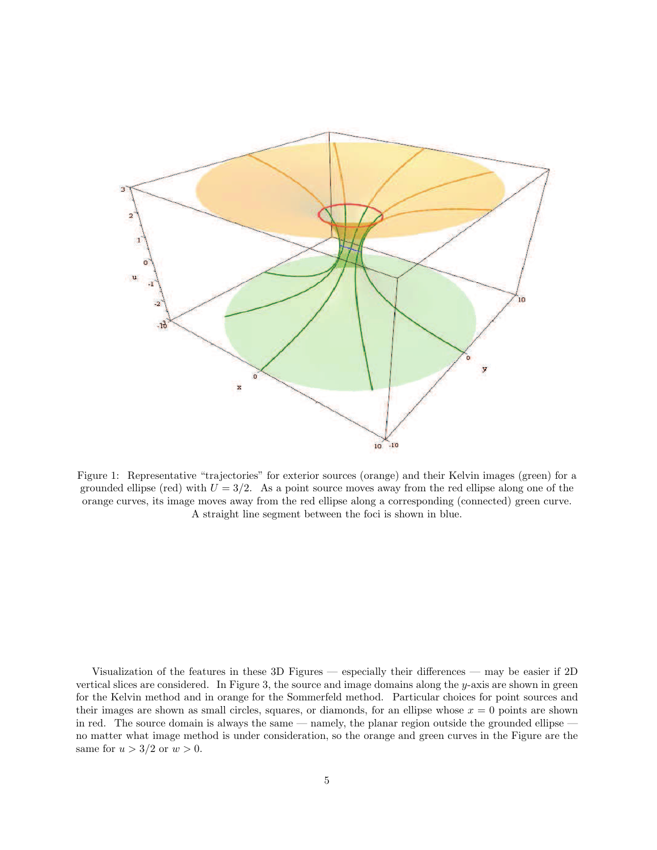

Figure 1: Representative "trajectories" for exterior sources (orange) and their Kelvin images (green) for a grounded ellipse (red) with  $U = 3/2$ . As a point source moves away from the red ellipse along one of the orange curves, its image moves away from the red ellipse along a corresponding (connected) green curve. A straight line segment between the foci is shown in blue.

Visualization of the features in these 3D Figures — especially their differences — may be easier if 2D vertical slices are considered. In Figure 3, the source and image domains along the y-axis are shown in green for the Kelvin method and in orange for the Sommerfeld method. Particular choices for point sources and their images are shown as small circles, squares, or diamonds, for an ellipse whose  $x = 0$  points are shown in red. The source domain is always the same — namely, the planar region outside the grounded ellipse no matter what image method is under consideration, so the orange and green curves in the Figure are the same for  $u > 3/2$  or  $w > 0$ .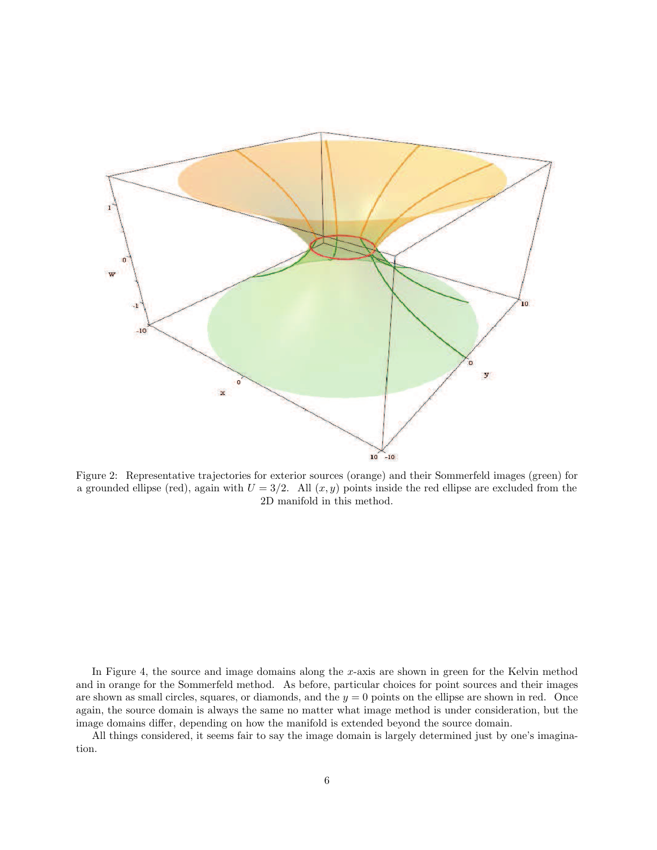

Figure 2: Representative trajectories for exterior sources (orange) and their Sommerfeld images (green) for a grounded ellipse (red), again with  $U = 3/2$ . All  $(x, y)$  points inside the red ellipse are excluded from the 2D manifold in this method.

In Figure 4, the source and image domains along the x-axis are shown in green for the Kelvin method and in orange for the Sommerfeld method. As before, particular choices for point sources and their images are shown as small circles, squares, or diamonds, and the  $y = 0$  points on the ellipse are shown in red. Once again, the source domain is always the same no matter what image method is under consideration, but the image domains differ, depending on how the manifold is extended beyond the source domain.

All things considered, it seems fair to say the image domain is largely determined just by one's imagination.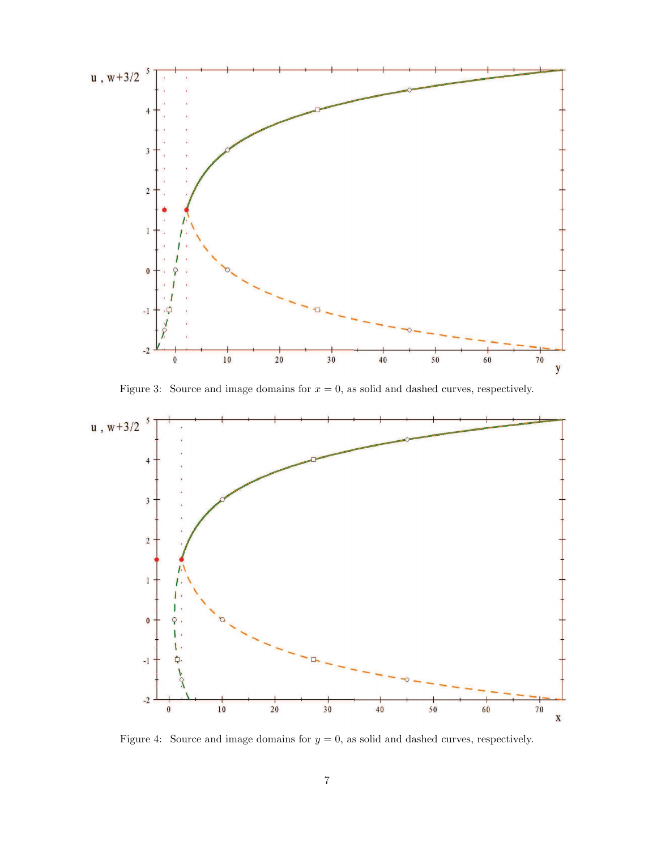

Figure 3: Source and image domains for  $x = 0$ , as solid and dashed curves, respectively.



Figure 4: Source and image domains for  $y = 0$ , as solid and dashed curves, respectively.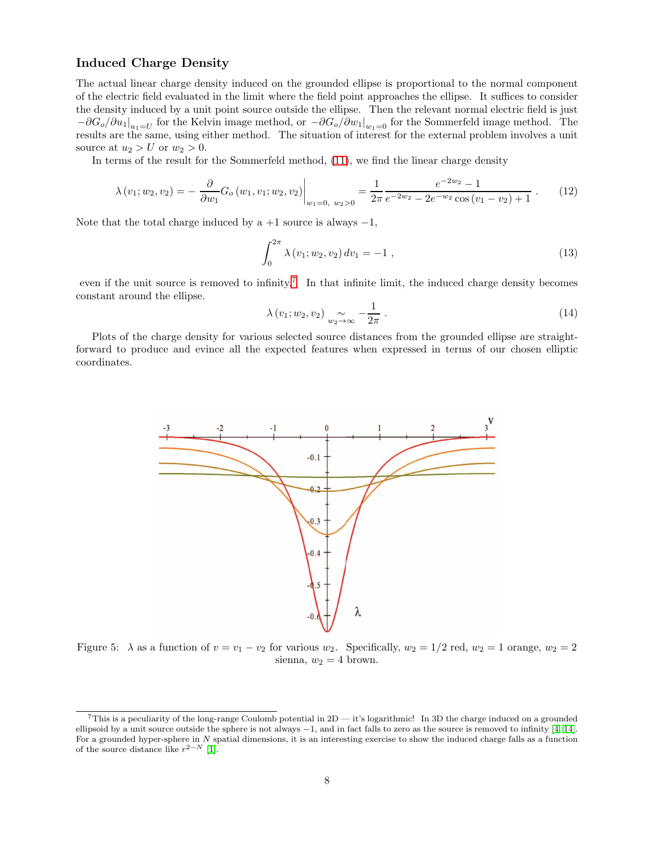### Induced Charge Density

The actual linear charge density induced on the grounded ellipse is proportional to the normal component of the electric field evaluated in the limit where the field point approaches the ellipse. It suffices to consider the density induced by a unit point source outside the ellipse. Then the relevant normal electric field is just  $-\partial G_o/\partial u_1|_{u_1=U}$  for the Kelvin image method, or  $-\partial G_o/\partial w_1|_{w_1=0}$  for the Sommerfeld image method. The results are the same, using either method. The situation of interest for the external problem involves a unit source at  $u_2 > U$  or  $w_2 > 0$ .

In terms of the result for the Sommerfeld method, [\(11\)](#page-3-2), we find the linear charge density

$$
\lambda(v_1; w_2, v_2) = -\left. \frac{\partial}{\partial w_1} G_o(w_1, v_1; w_2, v_2) \right|_{w_1 = 0, w_2 > 0} = \frac{1}{2\pi} \frac{e^{-2w_2} - 1}{e^{-2w_2} - 2e^{-w_2} \cos(v_1 - v_2) + 1} \ . \tag{12}
$$

Note that the total charge induced by  $a +1$  source is always  $-1$ ,

$$
\int_0^{2\pi} \lambda(v_1; w_2, v_2) dv_1 = -1 , \qquad (13)
$$

even if the unit source is removed to infinity.<sup>[7](#page-7-0)</sup> In that infinite limit, the induced charge density becomes constant around the ellipse.

$$
\lambda(v_1; w_2, v_2) \underset{w_2 \to \infty}{\sim} -\frac{1}{2\pi} \ . \tag{14}
$$

Plots of the charge density for various selected source distances from the grounded ellipse are straightforward to produce and evince all the expected features when expressed in terms of our chosen elliptic coordinates.



Figure 5:  $\lambda$  as a function of  $v = v_1 - v_2$  for various  $w_2$ . Specifically,  $w_2 = 1/2$  red,  $w_2 = 1$  orange,  $w_2 = 2$ sienna,  $w_2 = 4$  brown.

<span id="page-7-0"></span> $7$ This is a peculiarity of the long-range Coulomb potential in  $2D - it's logarithmic!$  In 3D the charge induced on a grounded ellipsoid by a unit source outside the sphere is not always −1, and in fact falls to zero as the source is removed to infinity [\[4,](#page-10-6) [14\]](#page-10-7). For a grounded hyper-sphere in N spatial dimensions, it is an interesting exercise to show the induced charge falls as a function of the source distance like  $r^{2-N}$  [\[1\]](#page-10-8).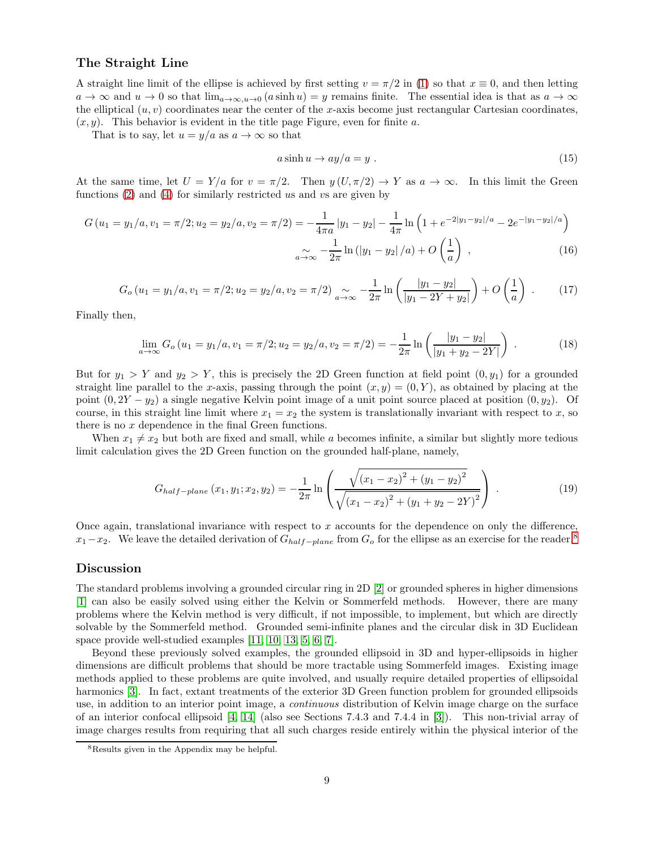### The Straight Line

A straight line limit of the ellipse is achieved by first setting  $v = \pi/2$  in [\(1\)](#page-1-3) so that  $x \equiv 0$ , and then letting  $a \to \infty$  and  $u \to 0$  so that  $\lim_{a \to \infty, u \to 0} (a \sinh u) = y$  remains finite. The essential idea is that as  $a \to \infty$ the elliptical  $(u, v)$  coordinates near the center of the x-axis become just rectangular Cartesian coordinates,  $(x, y)$ . This behavior is evident in the title page Figure, even for finite a.

That is to say, let  $u = y/a$  as  $a \to \infty$  so that

$$
a\sinh u \to ay/a = y \tag{15}
$$

At the same time, let  $U = Y/a$  for  $v = \pi/2$ . Then  $y(U, \pi/2) \to Y$  as  $a \to \infty$ . In this limit the Green functions  $(2)$  and  $(4)$  for similarly restricted us and vs are given by

$$
G(u_1 = y_1/a, v_1 = \pi/2; u_2 = y_2/a, v_2 = \pi/2) = -\frac{1}{4\pi a} |y_1 - y_2| - \frac{1}{4\pi} \ln\left(1 + e^{-2|y_1 - y_2|/a} - 2e^{-|y_1 - y_2|/a}\right)
$$

$$
\sim -\frac{1}{2\pi} \ln\left(|y_1 - y_2|/a\right) + O\left(\frac{1}{a}\right) ,\tag{16}
$$

$$
G_o(u_1 = y_1/a, v_1 = \pi/2; u_2 = y_2/a, v_2 = \pi/2) \underset{a \to \infty}{\sim} -\frac{1}{2\pi} \ln \left( \frac{|y_1 - y_2|}{|y_1 - 2Y + y_2|} \right) + O\left(\frac{1}{a}\right) \tag{17}
$$

Finally then,

$$
\lim_{a \to \infty} G_o(u_1 = y_1/a, v_1 = \pi/2; u_2 = y_2/a, v_2 = \pi/2) = -\frac{1}{2\pi} \ln \left( \frac{|y_1 - y_2|}{|y_1 + y_2 - 2Y|} \right) . \tag{18}
$$

But for  $y_1 > Y$  and  $y_2 > Y$ , this is precisely the 2D Green function at field point  $(0, y_1)$  for a grounded straight line parallel to the x-axis, passing through the point  $(x, y) = (0, Y)$ , as obtained by placing at the point  $(0, 2Y - y_2)$  a single negative Kelvin point image of a unit point source placed at position  $(0, y_2)$ . Of course, in this straight line limit where  $x_1 = x_2$  the system is translationally invariant with respect to x, so there is no  $x$  dependence in the final Green functions.

When  $x_1 \neq x_2$  but both are fixed and small, while a becomes infinite, a similar but slightly more tedious limit calculation gives the 2D Green function on the grounded half-plane, namely,

$$
G_{half-plane}(x_1, y_1; x_2, y_2) = -\frac{1}{2\pi} \ln \left( \frac{\sqrt{(x_1 - x_2)^2 + (y_1 - y_2)^2}}{\sqrt{(x_1 - x_2)^2 + (y_1 + y_2 - 2Y)^2}} \right) \tag{19}
$$

Once again, translational invariance with respect to  $x$  accounts for the dependence on only the difference,  $x_1-x_2$ . We leave the detailed derivation of  $G_{half-plane}$  from  $G_o$  for the ellipse as an exercise for the reader.<sup>[8](#page-8-0)</sup>

### Discussion

The standard problems involving a grounded circular ring in 2D [\[2\]](#page-10-4) or grounded spheres in higher dimensions [\[1\]](#page-10-8) can also be easily solved using either the Kelvin or Sommerfeld methods. However, there are many problems where the Kelvin method is very difficult, if not impossible, to implement, but which are directly solvable by the Sommerfeld method. Grounded semi-infinite planes and the circular disk in 3D Euclidean space provide well-studied examples [\[11,](#page-10-1) [10,](#page-10-9) [13,](#page-10-10) [5,](#page-10-11) [6,](#page-10-12) [7\]](#page-10-3).

Beyond these previously solved examples, the grounded ellipsoid in 3D and hyper-ellipsoids in higher dimensions are difficult problems that should be more tractable using Sommerfeld images. Existing image methods applied to these problems are quite involved, and usually require detailed properties of ellipsoidal harmonics [\[3\]](#page-10-13). In fact, extant treatments of the exterior 3D Green function problem for grounded ellipsoids use, in addition to an interior point image, a continuous distribution of Kelvin image charge on the surface of an interior confocal ellipsoid [\[4,](#page-10-6) [14\]](#page-10-7) (also see Sections 7.4.3 and 7.4.4 in [\[3\]](#page-10-13)). This non-trivial array of image charges results from requiring that all such charges reside entirely within the physical interior of the

<span id="page-8-0"></span><sup>8</sup>Results given in the Appendix may be helpful.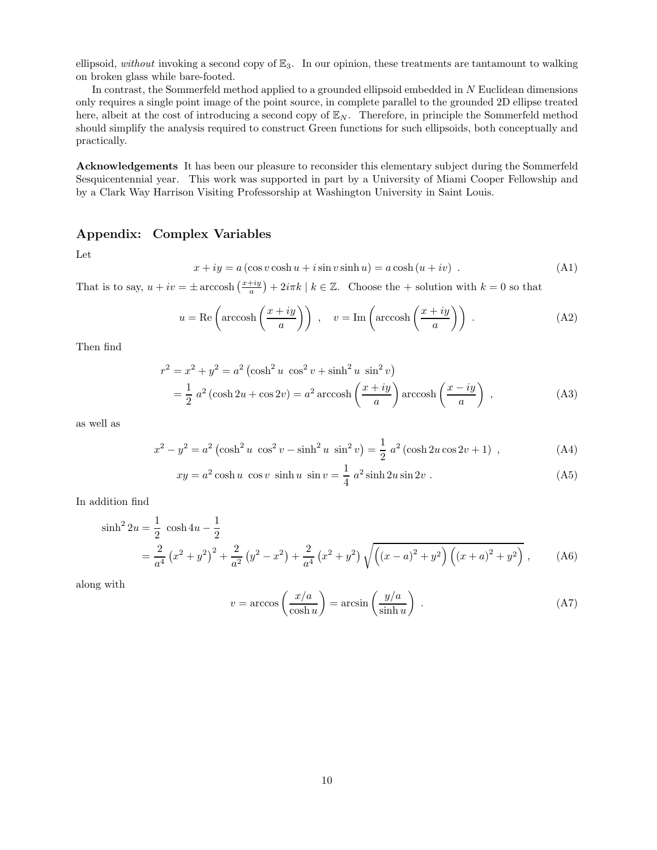ellipsoid, without invoking a second copy of  $\mathbb{E}_3$ . In our opinion, these treatments are tantamount to walking on broken glass while bare-footed.

In contrast, the Sommerfeld method applied to a grounded ellipsoid embedded in N Euclidean dimensions only requires a single point image of the point source, in complete parallel to the grounded 2D ellipse treated here, albeit at the cost of introducing a second copy of  $\mathbb{E}_N$ . Therefore, in principle the Sommerfeld method should simplify the analysis required to construct Green functions for such ellipsoids, both conceptually and practically.

Acknowledgements It has been our pleasure to reconsider this elementary subject during the Sommerfeld Sesquicentennial year. This work was supported in part by a University of Miami Cooper Fellowship and by a Clark Way Harrison Visiting Professorship at Washington University in Saint Louis.

### Appendix: Complex Variables

Let

$$
x + iy = a (\cos v \cosh u + i \sin v \sinh u) = a \cosh (u + iv) . \tag{A1}
$$

That is to say,  $u + iv = \pm \arccosh\left(\frac{x+iy}{a}\right) + 2i\pi k \mid k \in \mathbb{Z}$ . Choose the + solution with  $k = 0$  so that

$$
u = \text{Re}\left(\arccosh\left(\frac{x+iy}{a}\right)\right) , \quad v = \text{Im}\left(\arccosh\left(\frac{x+iy}{a}\right)\right) . \tag{A2}
$$

Then find

$$
r^{2} = x^{2} + y^{2} = a^{2} \left(\cosh^{2} u \cos^{2} v + \sinh^{2} u \sin^{2} v\right)
$$
  
=  $\frac{1}{2} a^{2} \left(\cosh 2u + \cos 2v\right) = a^{2} \operatorname{arccosh}\left(\frac{x + iy}{a}\right) \operatorname{arccosh}\left(\frac{x - iy}{a}\right)$ , (A3)

as well as

$$
x^{2} - y^{2} = a^{2} \left(\cosh^{2} u \, \cos^{2} v - \sinh^{2} u \, \sin^{2} v\right) = \frac{1}{2} a^{2} \left(\cosh 2u \cos 2v + 1\right) , \tag{A4}
$$

$$
xy = a^2 \cosh u \cos v \sinh u \sin v = \frac{1}{4} a^2 \sinh 2u \sin 2v.
$$
 (A5)

In addition find

$$
\sinh^{2} 2u = \frac{1}{2} \cosh 4u - \frac{1}{2}
$$
  
=  $\frac{2}{a^{4}} (x^{2} + y^{2})^{2} + \frac{2}{a^{2}} (y^{2} - x^{2}) + \frac{2}{a^{4}} (x^{2} + y^{2}) \sqrt{((x - a)^{2} + y^{2}) ((x + a)^{2} + y^{2})},$  (A6)

along with

$$
v = \arccos\left(\frac{x/a}{\cosh u}\right) = \arcsin\left(\frac{y/a}{\sinh u}\right) . \tag{A7}
$$